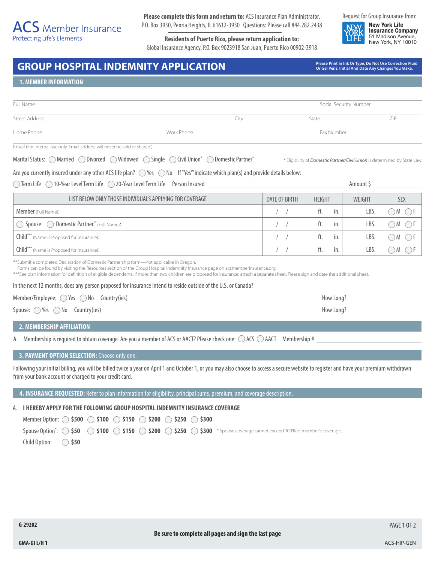# $\overline{ACS}$  Member Insurance **Protecting Life's Elements**

**Please complete this form and return to:** ACS Insurance Plan Administrator, P.O. Box 3930, Peoria Heights, IL 61612-3930 Questions: Please call 844.282.2438

**Residents of Puerto Rico, please return application to:** Global Insurance Agency, P.O. Box 9023918 San Juan, Puerto Rico 00902-3918 Request for Group Insurance from:

**New York Life Insurance Company** 51 Madison Avenue, New York, NY 10010

# GROUP HOSPITAL INDEMNITY APPLICATION *Please Print In Ink Or Type. Do Not Use Correction Fluid* **Crite any Changes You Make.**

**Or Gel Pens. Initial And Date Any Changes You Make.**

## **1. MEMBER INFORMATION**

| Full Name             |            |            | Social Security Number |     |  |
|-----------------------|------------|------------|------------------------|-----|--|
| <b>Street Address</b> |            | city       | State                  | ZIP |  |
| Home Phone            | Work Phone | Fax Number |                        |     |  |

Email (For internal use only. Email address will never be sold or shared.)

Marital Status: MarriedDivorcedWidowedSingleCivil Union\* Domestic Partner\*

\* Eligibility of *Domestic Partner/Civil Union* is determined by State Law.

| Are you currently insured under any other ACS life plan? $\bigcirc$ Yes $\bigcirc$ No If "Yes" indicate which plan(s) and provide details below: |  |  |  |  |  |  |  |
|--------------------------------------------------------------------------------------------------------------------------------------------------|--|--|--|--|--|--|--|
|--------------------------------------------------------------------------------------------------------------------------------------------------|--|--|--|--|--|--|--|

◯ Term Life 10-Year Level Term Life 20-Year Level Term Life Person Insured **Amount \$** 4 Amount \$ 4 Amount \$

| LIST BELOW ONLY THOSE INDIVIDUALS APPLYING FOR COVERAGE | DATE OF BIRTH | <b>HEIGHT</b> | WEIGHT | <b>SEX</b> |
|---------------------------------------------------------|---------------|---------------|--------|------------|
| Member (Full Name):                                     |               | ft.<br>in.    | LBS.   | ) M        |
| Spouse  O Domestic Partner** (Full Name):               |               | ft.<br>in.    | LBS.   | ) M        |
| Child*** (Name is Proposed for Insurance):              |               | in.<br>ft.    | LBS.   | ) M        |
| Child*** (Name is Proposed for Insurance):              |               | ft.<br>in.    | LBS.   |            |

\*\*Submit a completed Declaration of Domestic Partnership form—not applicable in Oregon.

Forms can be found by visiting the Resources section of the Group Hospital Indemnity Insurance page on acsmemberinsurance.org.

\*\*\*See plan information for definition of eligible dependents. If more than two children are proposed for insurance, attach a separate sheet. Please sign and date the additional sheet.

In the next 12 months, does any person proposed for insurance intend to reside outside of the U.S. or Canada?

| Member/Employee:<br>No<br>Yes<br>___ | Country(ies) |  | How Long<br>the contract of the contract of the contract of |
|--------------------------------------|--------------|--|-------------------------------------------------------------|
|--------------------------------------|--------------|--|-------------------------------------------------------------|

## Spouse:  $\bigcirc$  Yes  $\bigcirc$  No Country(ies) **How Long?** How Long?

#### **2. MEMBERSHIP AFFILIATION**

A. Membership is required to obtain coverage. Are you a member of ACS or AACT? Please check one:  $\bigcirc$  ACS  $\bigcirc$  AACT Membership #  $\bigcirc$ 

## **3. PAYMENT OPTION SELECTION:** Choose only one.

Following your initial billing, you will be billed twice a year on April 1 and October 1, or you may also choose to access a secure website to register and have your premium withdrawn from your bank account or charged to your credit card.

#### **4. INSURANCE REQUESTED:** Refer to plan information for eligibility, principal sums, premium, and coverage description.

A. **I HEREBY APPLY FOR THE FOLLOWING GROUP HOSPITAL INDEMNITY INSURANCE COVERAGE**

| Member Option: $\bigcirc$ \$500 $\bigcirc$ \$100 $\bigcirc$ \$150 $\bigcirc$ \$200 $\bigcirc$ \$250 $\bigcirc$ \$300 |  |                                                                                                                                                                                 |
|----------------------------------------------------------------------------------------------------------------------|--|---------------------------------------------------------------------------------------------------------------------------------------------------------------------------------|
|                                                                                                                      |  | Spouse Option*: $\bigcirc$ \$50 $\bigcirc$ \$100 $\bigcirc$ \$150 $\bigcirc$ \$200 $\bigcirc$ \$250 $\bigcirc$ \$300 * Spouse coverage cannot exceed 100% of member's coverage. |
| Child Option: $\bigcirc$ \$50                                                                                        |  |                                                                                                                                                                                 |